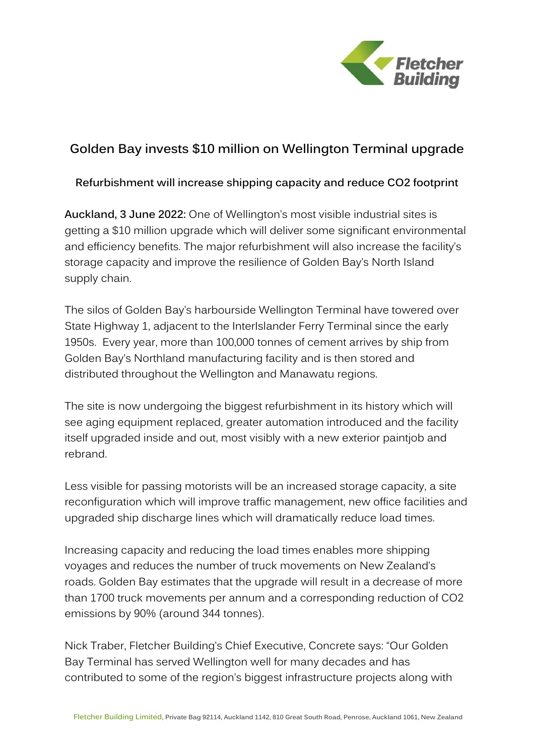

## **Golden Bay invests \$10 million on Wellington Terminal upgrade**

**Refurbishment will increase shipping capacity and reduce CO2 footprint**

**Auckland, 3 June 2022:** One of Wellington's most visible industrial sites is getting a \$10 million upgrade which will deliver some significant environmental and efficiency benefits. The major refurbishment will also increase the facility's storage capacity and improve the resilience of Golden Bay's North Island supply chain.

The silos of Golden Bay's harbourside Wellington Terminal have towered over State Highway 1, adjacent to the InterIslander Ferry Terminal since the early 1950s. Every year, more than 100,000 tonnes of cement arrives by ship from Golden Bay's Northland manufacturing facility and is then stored and distributed throughout the Wellington and Manawatu regions.

The site is now undergoing the biggest refurbishment in its history which will see aging equipment replaced, greater automation introduced and the facility itself upgraded inside and out, most visibly with a new exterior paintjob and rebrand.

Less visible for passing motorists will be an increased storage capacity, a site reconfiguration which will improve traffic management, new office facilities and upgraded ship discharge lines which will dramatically reduce load times.

Increasing capacity and reducing the load times enables more shipping voyages and reduces the number of truck movements on New Zealand's roads. Golden Bay estimates that the upgrade will result in a decrease of more than 1700 truck movements per annum and a corresponding reduction of CO2 emissions by 90% (around 344 tonnes).

Nick Traber, Fletcher Building's Chief Executive, Concrete says: "Our Golden Bay Terminal has served Wellington well for many decades and has contributed to some of the region's biggest infrastructure projects along with